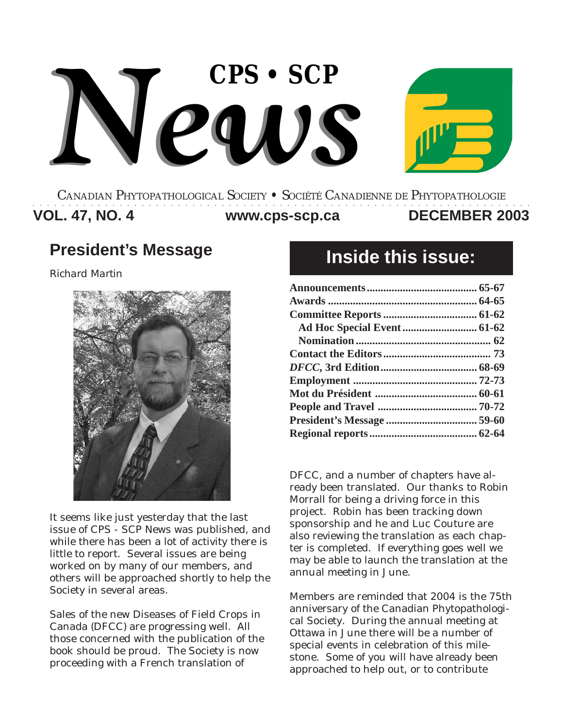

#### **VOL. 47, NO. 4 DECEMBER 2003 www.cps-scp.ca** CANADIAN PHYTOPATHOLOGICAL SOCIETY **•** SOCIÉTÉ CANADIENNE DE PHYTOPATHOLOGIE ○○○○○○○○○○○○○○○○○○○○○○○○○○○○○○○○○○○○○○○○○○○○○○○○○○○○○○○○○○○○○○○○○○○○○

## **President's Message**

*Richard Martin*



It seems like just yesterday that the last issue of CPS - SCP News was published, and while there has been a lot of activity there is little to report. Several issues are being worked on by many of our members, and others will be approached shortly to help the Society in several areas.

Sales of the new Diseases of Field Crops in Canada (DFCC) are progressing well. All those concerned with the publication of the book should be proud. The Society is now proceeding with a French translation of

# **Inside this issue:**

DFCC, and a number of chapters have already been translated. Our thanks to Robin Morrall for being a driving force in this project. Robin has been tracking down sponsorship and he and Luc Couture are also reviewing the translation as each chapter is completed. If everything goes well we may be able to launch the translation at the annual meeting in June.

Members are reminded that 2004 is the 75th anniversary of the Canadian Phytopathological Society. During the annual meeting at Ottawa in June there will be a number of special events in celebration of this milestone. Some of you will have already been approached to help out, or to contribute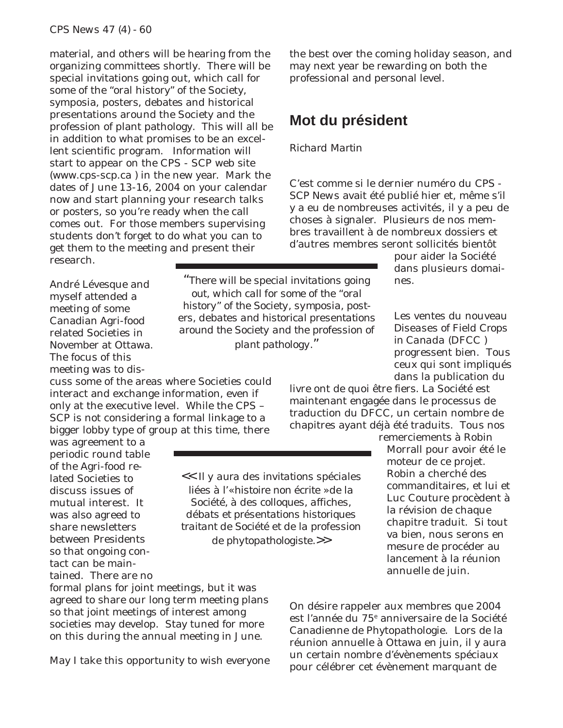material, and others will be hearing from the organizing committees shortly. There will be special invitations going out, which call for some of the "oral history" of the Society, symposia, posters, debates and historical presentations around the Society and the profession of plant pathology. This will all be in addition to what promises to be an excellent scientific program. Information will start to appear on the CPS - SCP web site (www.cps-scp.ca ) in the new year. Mark the dates of June 13-16, 2004 on your calendar now and start planning your research talks or posters, so you're ready when the call comes out. For those members supervising students don't forget to do what you can to get them to the meeting and present their research.

the best over the coming holiday season, and may next year be rewarding on both the professional and personal level.

### **Mot du président**

#### *Richard Martin*

C'est comme si le dernier numéro du *CPS - SCP News* avait été publié hier et, même s'il y a eu de nombreuses activités, il y a peu de choses à signaler. Plusieurs de nos membres travaillent à de nombreux dossiers et d'autres membres seront sollicités bientôt

*"There will be special invitations going*

nes.

pour aider la Société dans plusieurs domai-

Les ventes du nouveau *Diseases of Field Crops in Canada* (DFCC ) progressent bien. Tous ceux qui sont impliqués dans la publication du

livre ont de quoi être fiers. La Société est maintenant engagée dans le processus de traduction du DFCC, un certain nombre de chapitres ayant déjà été traduits. Tous nos

remerciements à Robin Morrall pour avoir été le moteur de ce projet. Robin a cherché des commanditaires, et lui et Luc Couture procèdent à la révision de chaque chapitre traduit. Si tout va bien, nous serons en mesure de procéder au lancement à la réunion annuelle de juin.

est l'année du 75<sup>e</sup> anniversaire de la Société Canadienne de Phytopathologie. Lors de la réunion annuelle à Ottawa en juin, il y aura un certain nombre d'évènements spéciaux pour célébrer cet évènement marquant de

André Lévesque and myself attended a meeting of some Canadian Agri-food related Societies in November at Ottawa. The focus of this meeting was to dis-

cuss some of the areas where Societies could interact and exchange information, even if only at the executive level. While the CPS – SCP is not considering a formal linkage to a bigger lobby type of group at this time, there

was agreement to a periodic round table of the Agri-food related Societies to discuss issues of mutual interest. It was also agreed to share newsletters between Presidents so that ongoing contact can be maintained. There are no

formal plans for joint meetings, but it was agreed to share our long term meeting plans so that joint meetings of interest among societies may develop. Stay tuned for more on this during the annual meeting in June.

May I take this opportunity to wish everyone

On désire rappeler aux membres que 2004

*out, which call for some of the "oral history" of the Society, symposia, posters, debates and historical presentations around the Society and the profession of plant pathology."*

*<< Il y aura des invitations spéciales liées à l'« histoire non écrite » de la Société, à des colloques, affiches, débats et présentations historiques traitant de Société et de la profession de phytopathologiste.>>*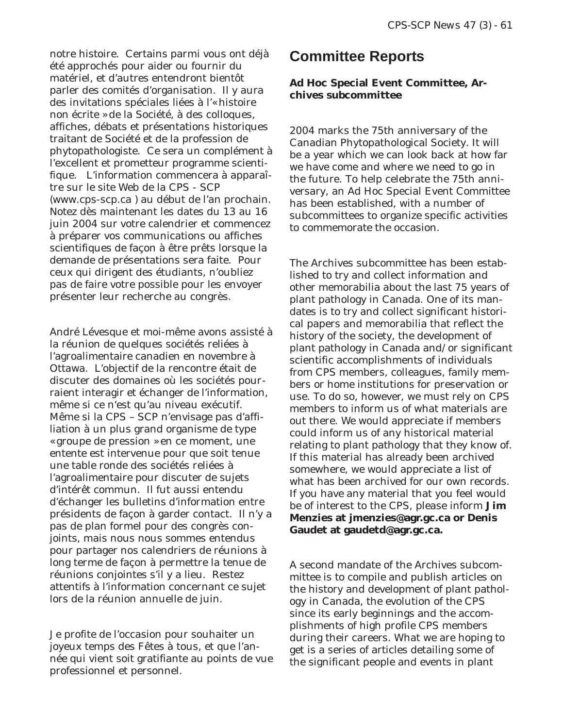notre histoire. Certains parmi vous ont déjà été approchés pour aider ou fournir du matériel, et d'autres entendront bientôt parler des comités d'organisation. Il y aura des invitations spéciales liées à l'« histoire non écrite » de la Société, à des colloques, affiches, débats et présentations historiques traitant de Société et de la profession de phytopathologiste. Ce sera un complément à l'excellent et prometteur programme scientifique. L'information commencera à apparaître sur le site Web de la CPS - SCP (www.cps-scp.ca ) au début de l'an prochain. Notez dès maintenant les dates du 13 au 16 juin 2004 sur votre calendrier et commencez à préparer vos communications ou affiches scientifiques de façon à être prêts lorsque la demande de présentations sera faite. Pour ceux qui dirigent des étudiants, n'oubliez pas de faire votre possible pour les envoyer présenter leur recherche au congrès.

André Lévesque et moi-même avons assisté à la réunion de quelques sociétés reliées à l'agroalimentaire canadien en novembre à Ottawa. L'objectif de la rencontre était de discuter des domaines où les sociétés pourraient interagir et échanger de l'information, même si ce n'est qu'au niveau exécutif. Même si la CPS – SCP n'envisage pas d'affiliation à un plus grand organisme de type « groupe de pression » en ce moment, une entente est intervenue pour que soit tenue une table ronde des sociétés reliées à l'agroalimentaire pour discuter de sujets d'intérêt commun. Il fut aussi entendu d'échanger les bulletins d'information entre présidents de façon à garder contact. Il n'y a pas de plan formel pour des congrès conjoints, mais nous nous sommes entendus pour partager nos calendriers de réunions à long terme de façon à permettre la tenue de réunions conjointes s'il y a lieu. Restez attentifs à l'information concernant ce sujet lors de la réunion annuelle de juin.

Je profite de l'occasion pour souhaiter un joyeux temps des Fêtes à tous, et que l'année qui vient soit gratifiante au points de vue professionnel et personnel.

### **Committee Reports**

#### **Ad Hoc Special Event Committee, Archives subcommittee**

2004 marks the 75th anniversary of the Canadian Phytopathological Society. It will be a year which we can look back at how far we have come and where we need to go in the future. To help celebrate the 75th anniversary, an Ad Hoc Special Event Committee has been established, with a number of subcommittees to organize specific activities to commemorate the occasion.

The Archives subcommittee has been established to try and collect information and other memorabilia about the last 75 years of plant pathology in Canada. One of its mandates is to try and collect significant historical papers and memorabilia that reflect the history of the society, the development of plant pathology in Canada and/or significant scientific accomplishments of individuals from CPS members, colleagues, family members or home institutions for preservation or use. To do so, however, we must rely on CPS members to inform us of what materials are out there. We would appreciate if members could inform us of any historical material relating to plant pathology that they know of. If this material has already been archived somewhere, we would appreciate a list of what has been archived for our own records. If you have any material that you feel would be of interest to the CPS, please inform **Jim Menzies at jmenzies@agr.gc.ca or Denis Gaudet at gaudetd@agr.gc.ca.**

A second mandate of the Archives subcommittee is to compile and publish articles on the history and development of plant pathology in Canada, the evolution of the CPS since its early beginnings and the accomplishments of high profile CPS members during their careers. What we are hoping to get is a series of articles detailing some of the significant people and events in plant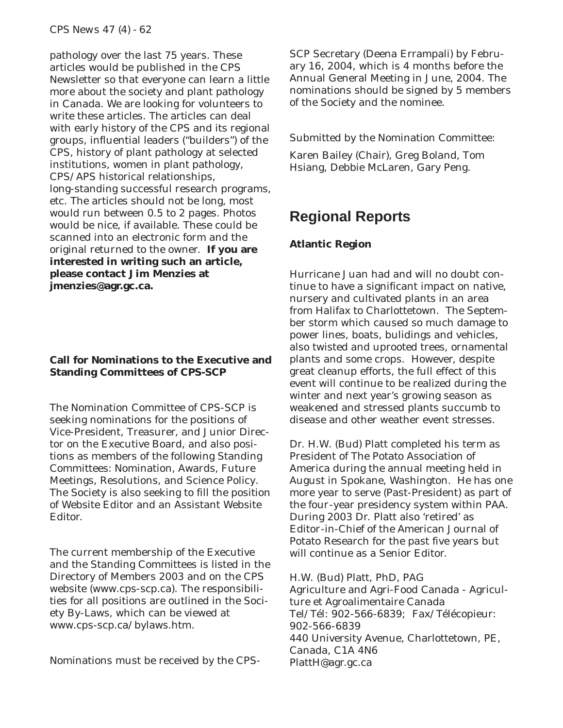pathology over the last 75 years. These articles would be published in the CPS Newsletter so that everyone can learn a little more about the society and plant pathology in Canada. We are looking for volunteers to write these articles. The articles can deal with early history of the CPS and its regional groups, influential leaders ("builders") of the CPS, history of plant pathology at selected institutions, women in plant pathology, CPS/APS historical relationships, long-standing successful research programs, etc. The articles should not be long, most would run between 0.5 to 2 pages. Photos would be nice, if available. These could be scanned into an electronic form and the original returned to the owner. **If you are interested in writing such an article, please contact Jim Menzies at jmenzies@agr.gc.ca.**

#### **Call for Nominations to the Executive and Standing Committees of CPS-SCP**

The Nomination Committee of CPS-SCP is seeking nominations for the positions of Vice-President, Treasurer, and Junior Director on the Executive Board, and also positions as members of the following Standing Committees: Nomination, Awards, Future Meetings, Resolutions, and Science Policy. The Society is also seeking to fill the position of Website Editor and an Assistant Website Editor.

The current membership of the Executive and the Standing Committees is listed in the Directory of Members 2003 and on the CPS website (www.cps-scp.ca). The responsibilities for all positions are outlined in the Society By-Laws, which can be viewed at www.cps-scp.ca/bylaws.htm.

Nominations must be received by the CPS-

SCP Secretary (Deena Errampali) by February 16, 2004, which is 4 months before the Annual General Meeting in June, 2004. The nominations should be signed by 5 members of the Society and the nominee.

Submitted by the Nomination Committee:

Karen Bailey (Chair), Greg Boland, Tom Hsiang, Debbie McLaren, Gary Peng.

## **Regional Reports**

#### **Atlantic Region**

Hurricane Juan had and will no doubt continue to have a significant impact on native, nursery and cultivated plants in an area from Halifax to Charlottetown. The September storm which caused so much damage to power lines, boats, bulidings and vehicles, also twisted and uprooted trees, ornamental plants and some crops. However, despite great cleanup efforts, the full effect of this event will continue to be realized during the winter and next year's growing season as weakened and stressed plants succumb to disease and other weather event stresses.

Dr. H.W. (Bud) Platt completed his term as President of The Potato Association of America during the annual meeting held in August in Spokane, Washington. He has one more year to serve (Past-President) as part of the four-year presidency system within PAA. During 2003 Dr. Platt also 'retired' as Editor-in-Chief of the American Journal of Potato Research for the past five years but will continue as a Senior Editor.

H.W. (Bud) Platt, PhD, PAG Agriculture and Agri-Food Canada - Agriculture et Agroalimentaire Canada Tel/Tél: 902-566-6839; Fax/Télécopieur: 902-566-6839 440 University Avenue, Charlottetown, PE, Canada, C1A 4N6 PlattH@agr.gc.ca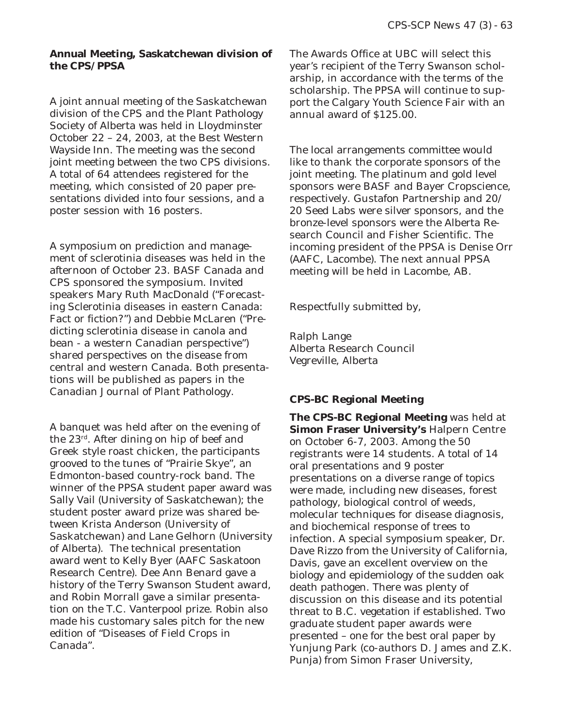#### **Annual Meeting, Saskatchewan division of the CPS/PPSA**

A joint annual meeting of the Saskatchewan division of the CPS and the Plant Pathology Society of Alberta was held in Lloydminster October 22 – 24, 2003, at the Best Western Wayside Inn. The meeting was the second joint meeting between the two CPS divisions. A total of 64 attendees registered for the meeting, which consisted of 20 paper presentations divided into four sessions, and a poster session with 16 posters.

A symposium on prediction and management of sclerotinia diseases was held in the afternoon of October 23. BASF Canada and CPS sponsored the symposium. Invited speakers Mary Ruth MacDonald ("Forecasting Sclerotinia diseases in eastern Canada: Fact or fiction?") and Debbie McLaren ("Predicting sclerotinia disease in canola and bean - a western Canadian perspective") shared perspectives on the disease from central and western Canada. Both presentations will be published as papers in the Canadian Journal of Plant Pathology.

A banquet was held after on the evening of the 23rd. After dining on hip of beef and Greek style roast chicken, the participants grooved to the tunes of "Prairie Skye", an Edmonton-based country-rock band. The winner of the PPSA student paper award was Sally Vail (University of Saskatchewan); the student poster award prize was shared between Krista Anderson (University of Saskatchewan) and Lane Gelhorn (University of Alberta). The technical presentation award went to Kelly Byer (AAFC Saskatoon Research Centre). Dee Ann Benard gave a history of the Terry Swanson Student award, and Robin Morrall gave a similar presentation on the T.C. Vanterpool prize. Robin also made his customary sales pitch for the new edition of "Diseases of Field Crops in Canada".

The Awards Office at UBC will select this year's recipient of the Terry Swanson scholarship, in accordance with the terms of the scholarship. The PPSA will continue to support the Calgary Youth Science Fair with an annual award of \$125.00.

The local arrangements committee would like to thank the corporate sponsors of the joint meeting. The platinum and gold level sponsors were BASF and Bayer Cropscience, respectively. Gustafon Partnership and 20/ 20 Seed Labs were silver sponsors, and the bronze-level sponsors were the Alberta Research Council and Fisher Scientific. The incoming president of the PPSA is Denise Orr (AAFC, Lacombe). The next annual PPSA meeting will be held in Lacombe, AB.

Respectfully submitted by,

Ralph Lange Alberta Research Council Vegreville, Alberta

#### **CPS-BC Regional Meeting**

**The CPS-BC Regional Meeting** was held at **Simon Fraser University's** Halpern Centre on October 6-7, 2003. Among the 50 registrants were 14 students. A total of 14 oral presentations and 9 poster presentations on a diverse range of topics were made, including new diseases, forest pathology, biological control of weeds, molecular techniques for disease diagnosis, and biochemical response of trees to infection. A special symposium speaker, Dr. Dave Rizzo from the University of California, Davis, gave an excellent overview on the biology and epidemiology of the sudden oak death pathogen. There was plenty of discussion on this disease and its potential threat to B.C. vegetation if established. Two graduate student paper awards were presented – one for the best oral paper by Yunjung Park (co-authors D. James and Z.K. Punja) from Simon Fraser University,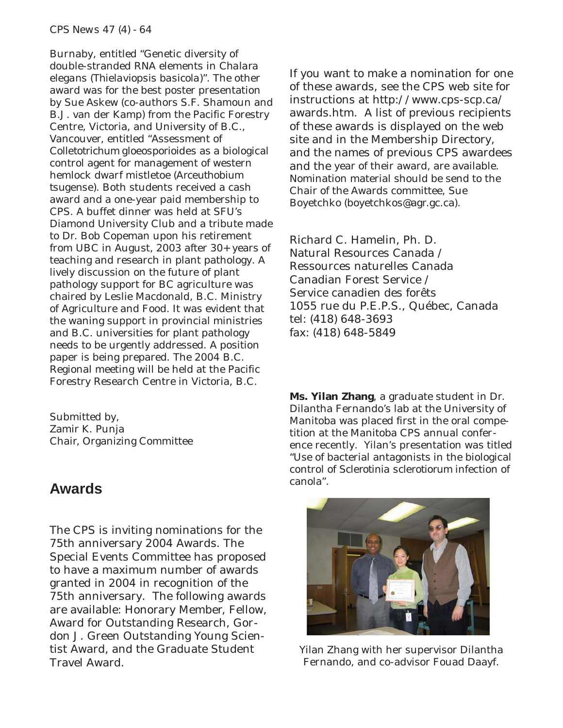Burnaby, entitled "Genetic diversity of double-stranded RNA elements in *Chalara elegans* (*Thielaviopsis basicola*)". The other award was for the best poster presentation by Sue Askew (co-authors S.F. Shamoun and B.J. van der Kamp) from the Pacific Forestry Centre, Victoria, and University of B.C., Vancouver, entitled "Assessment of *Colletotrichum gloeosporioides* as a biological control agent for management of western hemlock dwarf mistletoe (*Arceuthobium tsugense*). Both students received a cash award and a one-year paid membership to CPS. A buffet dinner was held at SFU's Diamond University Club and a tribute made to Dr. Bob Copeman upon his retirement from UBC in August, 2003 after 30+ years of teaching and research in plant pathology. A lively discussion on the future of plant pathology support for BC agriculture was chaired by Leslie Macdonald, B.C. Ministry of Agriculture and Food. It was evident that the waning support in provincial ministries and B.C. universities for plant pathology needs to be urgently addressed. A position paper is being prepared. The 2004 B.C. Regional meeting will be held at the Pacific Forestry Research Centre in Victoria, B.C.

Submitted by, Zamir K. Punja Chair, Organizing Committee

### **Awards**

The CPS is inviting nominations for the 75th anniversary 2004 Awards. The Special Events Committee has proposed to have a maximum number of awards granted in 2004 in recognition of the 75th anniversary. The following awards are available: Honorary Member, Fellow, Award for Outstanding Research, Gordon J. Green Outstanding Young Scientist Award, and the Graduate Student Travel Award.

If you want to make a nomination for one of these awards, see the CPS web site for instructions at http://www.cps-scp.ca/ awards.htm. A list of previous recipients of these awards is displayed on the web site and in the Membership Directory, and the names of previous CPS awardees and the year of their award, are available. Nomination material should be send to the Chair of the Awards committee, Sue Boyetchko (boyetchkos@agr.gc.ca).

Richard C. Hamelin, Ph. D. Natural Resources Canada / Ressources naturelles Canada Canadian Forest Service / Service canadien des forêts 1055 rue du P.E.P.S., Québec, Canada tel: (418) 648-3693 fax: (418) 648-5849

**Ms. Yilan Zhang**, a graduate student in Dr. Dilantha Fernando's lab at the University of Manitoba was placed first in the oral competition at the Manitoba CPS annual conference recently. Yilan's presentation was titled "Use of bacterial antagonists in the biological control of *Sclerotinia sclerotiorum* infection of canola".



Yilan Zhang with her supervisor Dilantha Fernando, and co-advisor Fouad Daayf.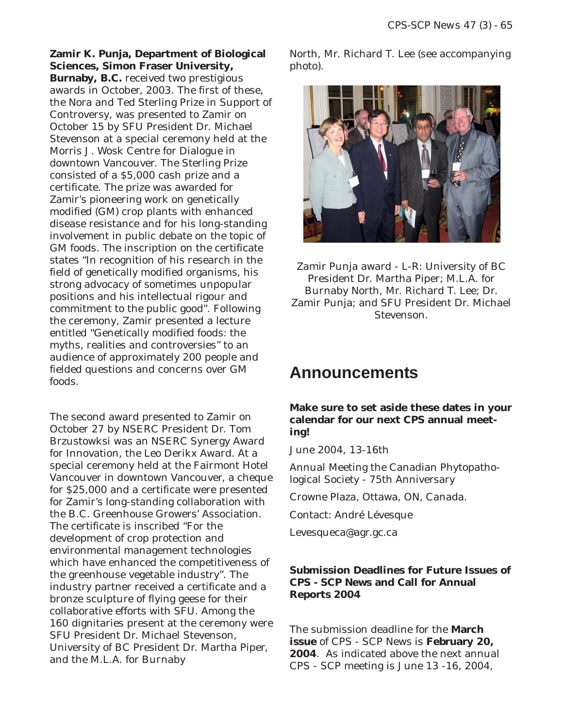**Zamir K. Punja, Department of Biological Sciences, Simon Fraser University, Burnaby, B.C.** received two prestigious awards in October, 2003. The first of these, the Nora and Ted Sterling Prize in Support of Controversy, was presented to Zamir on October 15 by SFU President Dr. Michael Stevenson at a special ceremony held at the Morris J. Wosk Centre for Dialogue in downtown Vancouver. The Sterling Prize consisted of a \$5,000 cash prize and a certificate. The prize was awarded for Zamir's pioneering work on genetically modified (GM) crop plants with enhanced disease resistance and for his long-standing involvement in public debate on the topic of GM foods. The inscription on the certificate states "In recognition of his research in the field of genetically modified organisms, his strong advocacy of sometimes unpopular positions and his intellectual rigour and commitment to the public good". Following the ceremony, Zamir presented a lecture entitled "Genetically modified foods: the myths, realities and controversies" to an audience of approximately 200 people and fielded questions and concerns over GM foods.

The second award presented to Zamir on October 27 by NSERC President Dr. Tom Brzustowksi was an NSERC Synergy Award for Innovation, the Leo Derikx Award. At a special ceremony held at the Fairmont Hotel Vancouver in downtown Vancouver, a cheque for \$25,000 and a certificate were presented for Zamir's long-standing collaboration with the B.C. Greenhouse Growers' Association. The certificate is inscribed "For the development of crop protection and environmental management technologies which have enhanced the competitiveness of the greenhouse vegetable industry". The industry partner received a certificate and a bronze sculpture of flying geese for their collaborative efforts with SFU. Among the 160 dignitaries present at the ceremony were SFU President Dr. Michael Stevenson, University of BC President Dr. Martha Piper, and the M.L.A. for Burnaby

North, Mr. Richard T. Lee (see accompanying photo).



Zamir Punja award - L-R: University of BC President Dr. Martha Piper; M.L.A. for Burnaby North, Mr. Richard T. Lee; Dr. Zamir Punja; and SFU President Dr. Michael Stevenson.

## **Announcements**

#### **Make sure to set aside these dates in your calendar for our next CPS annual meeting!**

June 2004, 13-16th

Annual Meeting the Canadian Phytopathological Society - 75th Anniversary

Crowne Plaza, Ottawa, ON, Canada.

Contact: André Lévesque

Levesqueca@agr.gc.ca

#### **Submission Deadlines for Future Issues of CPS - SCP News and Call for Annual Reports 2004**

The submission deadline for the **March issue** of CPS - SCP News is **February 20, 2004**. As indicated above the next annual CPS - SCP meeting is June 13 -16, 2004,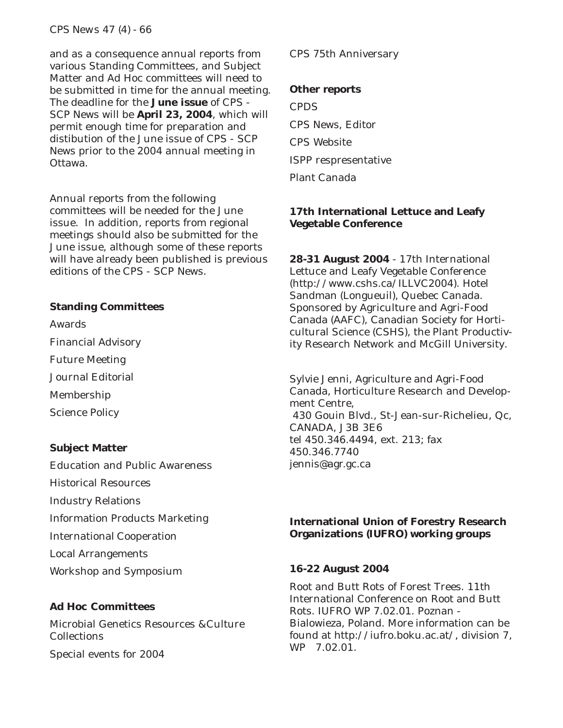#### *CPS News 47 (4) - 66*

and as a consequence annual reports from various Standing Committees, and Subject Matter and Ad Hoc committees will need to be submitted in time for the annual meeting. The deadline for the **June issue** of CPS - SCP News will be **April 23, 2004**, which will permit enough time for preparation and distibution of the June issue of CPS - SCP News prior to the 2004 annual meeting in Ottawa.

Annual reports from the following committees will be needed for the June issue. In addition, reports from regional meetings should also be submitted for the June issue, although some of these reports will have already been published is previous editions of the CPS - SCP News.

#### **Standing Committees**

Awards Financial Advisory Future Meeting Journal Editorial Membership Science Policy

#### **Subject Matter**

- Education and Public Awareness Historical Resources Industry Relations
- Information Products Marketing
- International Cooperation
- Local Arrangements
- Workshop and Symposium

#### **Ad Hoc Committees**

Microbial Genetics Resources &Culture **Collections** 

Special events for 2004

#### CPS 75th Anniversary

#### **Other reports**

**CPDS** CPS News, Editor CPS Website ISPP respresentative Plant Canada

#### **17th International Lettuce and Leafy Vegetable Conference**

**28-31 August 2004** - 17th International Lettuce and Leafy Vegetable Conference (http://www.cshs.ca/ILLVC2004). Hotel Sandman (Longueuil), Quebec Canada. Sponsored by Agriculture and Agri-Food Canada (AAFC), Canadian Society for Horticultural Science (CSHS), the Plant Productivity Research Network and McGill University.

Sylvie Jenni, Agriculture and Agri-Food Canada, Horticulture Research and Development Centre, 430 Gouin Blvd., St-Jean-sur-Richelieu, Qc, CANADA, J3B 3E6 tel 450.346.4494, ext. 213; fax 450.346.7740 jennis@agr.gc.ca

#### **International Union of Forestry Research Organizations (IUFRO) working groups**

#### **16-22 August 2004**

Root and Butt Rots of Forest Trees. 11th International Conference on Root and Butt Rots. IUFRO WP 7.02.01. Poznan - Bialowieza, Poland. More information can be found at http://iufro.boku.ac.at/, division 7, WP 7.02.01.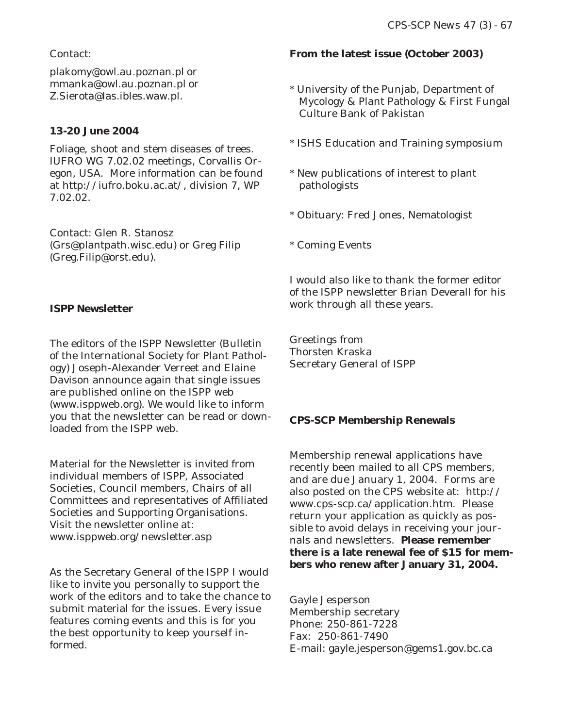#### Contact:

plakomy@owl.au.poznan.pl or mmanka@owl.au.poznan.pl or Z.Sierota@las.ibles.waw.pl.

#### **13-20 June 2004**

Foliage, shoot and stem diseases of trees. IUFRO WG 7.02.02 meetings, Corvallis Oregon, USA. More information can be found at http://iufro.boku.ac.at/, division 7, WP 7.02.02.

Contact: Glen R. Stanosz (Grs@plantpath.wisc.edu) or Greg Filip (Greg.Filip@orst.edu).

#### **ISPP Newsletter**

The editors of the ISPP Newsletter (Bulletin of the International Society for Plant Pathology) Joseph-Alexander Verreet and Elaine Davison announce again that single issues are published online on the ISPP web (www.isppweb.org). We would like to inform you that the newsletter can be read or downloaded from the ISPP web.

Material for the Newsletter is invited from individual members of ISPP, Associated Societies, Council members, Chairs of all Committees and representatives of Affiliated Societies and Supporting Organisations. Visit the newsletter online at: www.isppweb.org/newsletter.asp

As the Secretary General of the ISPP I would like to invite you personally to support the work of the editors and to take the chance to submit material for the issues. Every issue features coming events and this is for you the best opportunity to keep yourself informed.

#### **From the latest issue (October 2003)**

- \* University of the Punjab, Department of Mycology & Plant Pathology & First Fungal Culture Bank of Pakistan
- \* ISHS Education and Training symposium
- \* New publications of interest to plant pathologists
- \* Obituary: Fred Jones, Nematologist
- \* Coming Events

I would also like to thank the former editor of the ISPP newsletter Brian Deverall for his work through all these years.

Greetings from Thorsten Kraska Secretary General of ISPP

#### **CPS-SCP Membership Renewals**

Membership renewal applications have recently been mailed to all CPS members, and are due January 1, 2004. Forms are also posted on the CPS website at: http:// www.cps-scp.ca/application.htm. Please return your application as quickly as possible to avoid delays in receiving your journals and newsletters. **Please remember there is a late renewal fee of \$15 for members who renew after January 31, 2004.**

Gayle Jesperson Membership secretary Phone: 250-861-7228 Fax: 250-861-7490 E-mail: gayle.jesperson@gems1.gov.bc.ca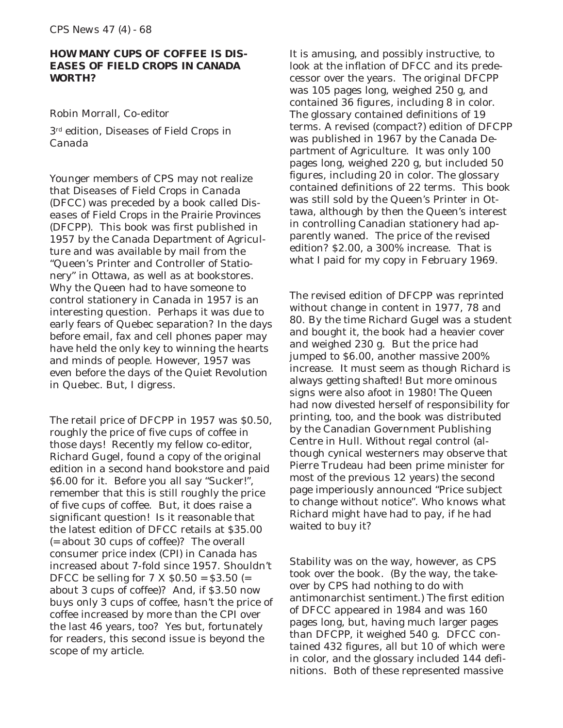#### **HOW MANY CUPS OF COFFEE IS** *DIS-EASES OF FIELD CROPS IN CANADA* **WORTH?**

#### Robin Morrall, Co-editor

3rd edition, *Diseases of Field Crops in Canada*

Younger members of CPS may not realize that *Diseases of Field Crops in Canada* (DFCC) was preceded by a book called *Diseases of Field Crops in the Prairie Provinces* (DFCPP). This book was first published in 1957 by the Canada Department of Agriculture and was available by mail from the "Queen's Printer and Controller of Stationery" in Ottawa, as well as at bookstores. Why the Queen had to have someone to control stationery in Canada in 1957 is an interesting question. Perhaps it was due to early fears of Quebec separation? In the days before email, fax and cell phones paper may have held the only key to winning the hearts and minds of people. However, 1957 was even before the days of the Quiet Revolution in Quebec. But, I digress.

The retail price of DFCPP in 1957 was \$0.50, roughly the price of five cups of coffee in those days! Recently my fellow co-editor, Richard Gugel, found a copy of the original edition in a second hand bookstore and paid \$6.00 for it. Before you all say "Sucker!", remember that this is still roughly the price of five cups of coffee. But, it does raise a significant question! Is it reasonable that the latest edition of DFCC retails at \$35.00 (= about 30 cups of coffee)? The overall consumer price index (CPI) in Canada has increased about 7-fold since 1957. Shouldn't DFCC be selling for  $7 X $0.50 = $3.50 (=$ about 3 cups of coffee)? And, if \$3.50 now buys only 3 cups of coffee, hasn't the price of coffee increased by more than the CPI over the last 46 years, too? Yes but, fortunately for readers, this second issue is beyond the scope of my article.

It is amusing, and possibly instructive, to look at the inflation of DFCC and its predecessor over the years. The original DFCPP was 105 pages long, weighed 250 g, and contained 36 figures, including 8 in color. The glossary contained definitions of 19 terms. A revised (compact?) edition of DFCPP was published in 1967 by the Canada Department of Agriculture. It was only 100 pages long, weighed 220 g, but included 50 figures, including 20 in color. The glossary contained definitions of 22 terms. This book was still sold by the Queen's Printer in Ottawa, although by then the Queen's interest in controlling Canadian stationery had apparently waned. The price of the revised edition? \$2.00, a 300% increase. That is what I paid for my copy in February 1969.

The revised edition of DFCPP was reprinted without change in content in 1977, 78 and 80. By the time Richard Gugel was a student and bought it, the book had a heavier cover and weighed 230 g. But the price had jumped to \$6.00, another massive 200% increase. It must seem as though Richard is always getting shafted! But more ominous signs were also afoot in 1980! The Queen had now divested herself of responsibility for printing, too, and the book was distributed by the Canadian Government Publishing Centre in Hull. Without regal control (although cynical westerners may observe that Pierre Trudeau had been prime minister for most of the previous 12 years) the second page imperiously announced "Price subject to change without notice". Who knows what Richard might have had to pay, if he had waited to buy it?

Stability was on the way, however, as CPS took over the book. (By the way, the takeover by CPS had nothing to do with antimonarchist sentiment.) The first edition of DFCC appeared in 1984 and was 160 pages long, but, having much larger pages than DFCPP, it weighed 540 g. DFCC contained 432 figures, all but 10 of which were in color, and the glossary included 144 definitions. Both of these represented massive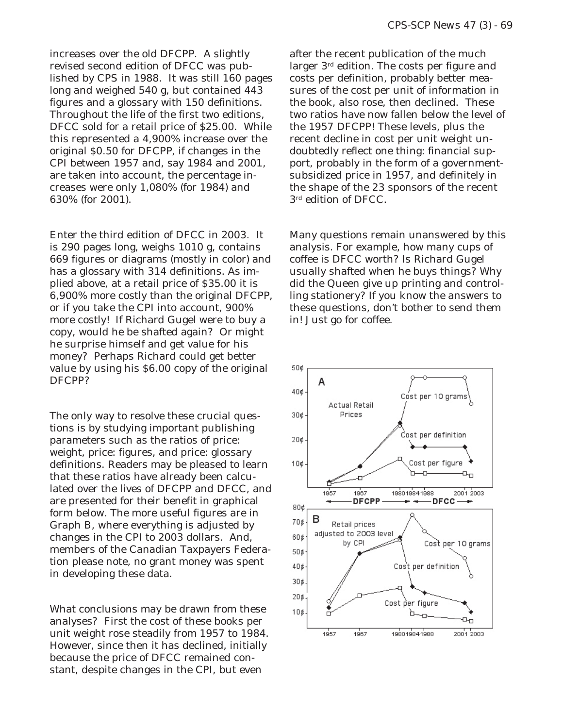increases over the old DFCPP. A slightly revised second edition of DFCC was published by CPS in 1988. It was still 160 pages long and weighed 540 g, but contained 443 figures and a glossary with 150 definitions. Throughout the life of the first two editions, DFCC sold for a retail price of \$25.00. While this represented a 4,900% increase over the original \$0.50 for DFCPP, if changes in the CPI between 1957 and, say 1984 and 2001, are taken into account, the percentage increases were only 1,080% (for 1984) and 630% (for 2001).

Enter the third edition of DFCC in 2003. It is 290 pages long, weighs 1010 g, contains 669 figures or diagrams (mostly in color) and has a glossary with 314 definitions. As implied above, at a retail price of \$35.00 it is 6,900% more costly than the original DFCPP, or if you take the CPI into account, 900% more costly! If Richard Gugel were to buy a copy, would he be shafted again? Or might he surprise himself and get value for his money? Perhaps Richard could get better value by using his \$6.00 copy of the original DFCPP?

The only way to resolve these crucial questions is by studying important publishing parameters such as the ratios of price: weight, price: figures, and price: glossary definitions. Readers may be pleased to learn that these ratios have already been calculated over the lives of DFCPP and DFCC, and are presented for their benefit in graphical form below. The more useful figures are in Graph B, where everything is adjusted by changes in the CPI to 2003 dollars. And, members of the Canadian Taxpayers Federation please note, no grant money was spent in developing these data.

What conclusions may be drawn from these analyses? First the cost of these books per unit weight rose steadily from 1957 to 1984. However, since then it has declined, initially because the price of DFCC remained constant, despite changes in the CPI, but even

after the recent publication of the much larger 3rd edition. The costs per figure and costs per definition, probably better measures of the cost per unit of information in the book, also rose, then declined. These two ratios have now fallen below the level of the 1957 DFCPP! These levels, plus the recent decline in cost per unit weight undoubtedly reflect one thing: financial support, probably in the form of a governmentsubsidized price in 1957, and definitely in the shape of the 23 sponsors of the recent 3rd edition of DFCC.

Many questions remain unanswered by this analysis. For example, how many cups of coffee is DFCC worth? Is Richard Gugel usually shafted when he buys things? Why did the Queen give up printing and controlling stationery? If you know the answers to these questions, don't bother to send them in! Just go for coffee.

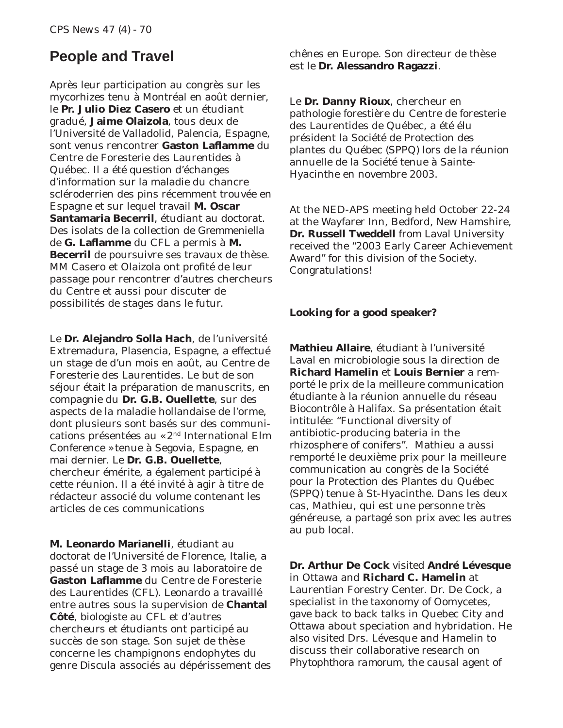### **People and Travel**

Après leur participation au congrès sur les mycorhizes tenu à Montréal en août dernier, le **Pr. Julio Diez Casero** et un étudiant gradué, **Jaime Olaizola**, tous deux de l'Université de Valladolid, Palencia, Espagne, sont venus rencontrer **Gaston Laflamme** du Centre de Foresterie des Laurentides à Québec. Il a été question d'échanges d'information sur la maladie du chancre scléroderrien des pins récemment trouvée en Espagne et sur lequel travail **M. Oscar Santamaria Becerril**, étudiant au doctorat. Des isolats de la collection de *Gremmeniella* de **G. Laflamme** du CFL a permis à **M. Becerril** de poursuivre ses travaux de thèse. MM Casero et Olaizola ont profité de leur passage pour rencontrer d'autres chercheurs du Centre et aussi pour discuter de possibilités de stages dans le futur.

Le **Dr. Alejandro Solla Hach**, de l'université Extremadura, Plasencia, Espagne, a effectué un stage de d'un mois en août, au Centre de Foresterie des Laurentides. Le but de son séjour était la préparation de manuscrits, en compagnie du **Dr. G.B. Ouellette**, sur des aspects de la maladie hollandaise de l'orme, dont plusieurs sont basés sur des communications présentées au « 2nd International Elm Conference » tenue à Segovia, Espagne, en mai dernier. Le **Dr. G.B. Ouellette**, chercheur émérite, a également participé à cette réunion. Il a été invité à agir à titre de rédacteur associé du volume contenant les articles de ces communications

**M. Leonardo Marianelli**, étudiant au doctorat de l'Université de Florence, Italie, a passé un stage de 3 mois au laboratoire de **Gaston Laflamme** du Centre de Foresterie des Laurentides (CFL). Leonardo a travaillé entre autres sous la supervision de **Chantal Côté**, biologiste au CFL et d'autres chercheurs et étudiants ont participé au succès de son stage. Son sujet de thèse concerne les champignons endophytes du genre *Discula* associés au dépérissement des chênes en Europe. Son directeur de thèse est le **Dr. Alessandro Ragazzi**.

Le **Dr. Danny Rioux**, chercheur en pathologie forestière du Centre de foresterie des Laurentides de Québec, a été élu président la Société de Protection des plantes du Québec (SPPQ) lors de la réunion annuelle de la Société tenue à Sainte-Hyacinthe en novembre 2003.

At the NED-APS meeting held October 22-24 at the Wayfarer Inn, Bedford, New Hamshire, **Dr. Russell Tweddell** from Laval University received the "2003 Early Career Achievement Award" for this division of the Society. Congratulations!

#### **Looking for a good speaker?**

**Mathieu Allaire**, étudiant à l'université Laval en microbiologie sous la direction de **Richard Hamelin** et **Louis Bernier** a remporté le prix de la meilleure communication étudiante à la réunion annuelle du réseau Biocontrôle à Halifax. Sa présentation était intitulée: "Functional diversity of antibiotic-producing bateria in the rhizosphere of conifers". Mathieu a aussi remporté le deuxième prix pour la meilleure communication au congrès de la Société pour la Protection des Plantes du Québec (SPPQ) tenue à St-Hyacinthe. Dans les deux cas, Mathieu, qui est une personne très généreuse, a partagé son prix avec les autres au pub local.

**Dr. Arthur De Cock** visited **André Lévesque** in Ottawa and **Richard C. Hamelin** at Laurentian Forestry Center. Dr. De Cock, a specialist in the taxonomy of Oomycetes, gave back to back talks in Quebec City and Ottawa about speciation and hybridation. He also visited Drs. Lévesque and Hamelin to discuss their collaborative research on *Phytophthora ramorum*, the causal agent of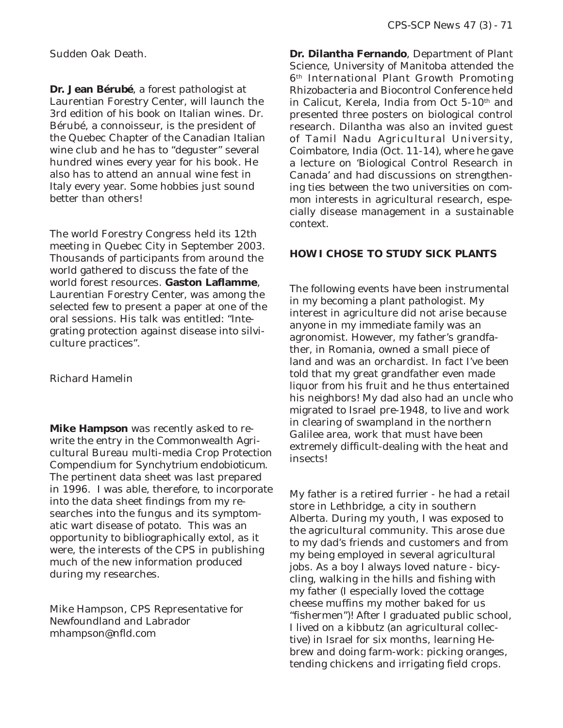Sudden Oak Death.

**Dr. Jean Bérubé**, a forest pathologist at Laurentian Forestry Center, will launch the 3rd edition of his book on Italian wines. Dr. Bérubé, a connoisseur, is the president of the Quebec Chapter of the Canadian Italian wine club and he has to "deguster" several hundred wines every year for his book. He also has to attend an annual wine fest in Italy every year. Some hobbies just sound better than others!

The world Forestry Congress held its 12th meeting in Quebec City in September 2003. Thousands of participants from around the world gathered to discuss the fate of the world forest resources. **Gaston Laflamme**, Laurentian Forestry Center, was among the selected few to present a paper at one of the oral sessions. His talk was entitled: "Integrating protection against disease into silviculture practices".

Richard Hamelin

**Mike Hampson** was recently asked to rewrite the entry in the Commonwealth Agricultural Bureau multi-media Crop Protection Compendium for *Synchytrium endobioticum*. The pertinent data sheet was last prepared in 1996. I was able, therefore, to incorporate into the data sheet findings from my researches into the fungus and its symptomatic wart disease of potato. This was an opportunity to bibliographically extol, as it were, the interests of the CPS in publishing much of the new information produced during my researches.

Mike Hampson, CPS Representative for Newfoundland and Labrador mhampson@nfld.com

**Dr. Dilantha Fernando**, Department of Plant Science, University of Manitoba attended the 6th International Plant Growth Promoting Rhizobacteria and Biocontrol Conference held in Calicut, Kerela, India from Oct 5-10<sup>th</sup> and presented three posters on biological control research. Dilantha was also an invited guest of Tamil Nadu Agricultural University, Coimbatore, India (Oct. 11-14), where he gave a lecture on 'Biological Control Research in Canada' and had discussions on strengthening ties between the two universities on common interests in agricultural research, especially disease management in a sustainable context.

#### **HOW I CHOSE TO STUDY SICK PLANTS**

The following events have been instrumental in my becoming a plant pathologist. My interest in agriculture did not arise because anyone in my immediate family was an agronomist. However, my father's grandfather, in Romania, owned a small piece of land and was an orchardist. In fact I've been told that my great grandfather even made liquor from his fruit and he thus entertained his neighbors! My dad also had an uncle who migrated to Israel pre-1948, to live and work in clearing of swampland in the northern Galilee area, work that must have been extremely difficult-dealing with the heat and insects!

My father is a retired furrier - he had a retail store in Lethbridge, a city in southern Alberta. During my youth, I was exposed to the agricultural community. This arose due to my dad's friends and customers and from my being employed in several agricultural jobs. As a boy I always loved nature - bicycling, walking in the hills and fishing with my father (I especially loved the cottage cheese muffins my mother baked for us "fishermen")! After I graduated public school, I lived on a kibbutz (an agricultural collective) in Israel for six months, learning Hebrew and doing farm-work: picking oranges, tending chickens and irrigating field crops.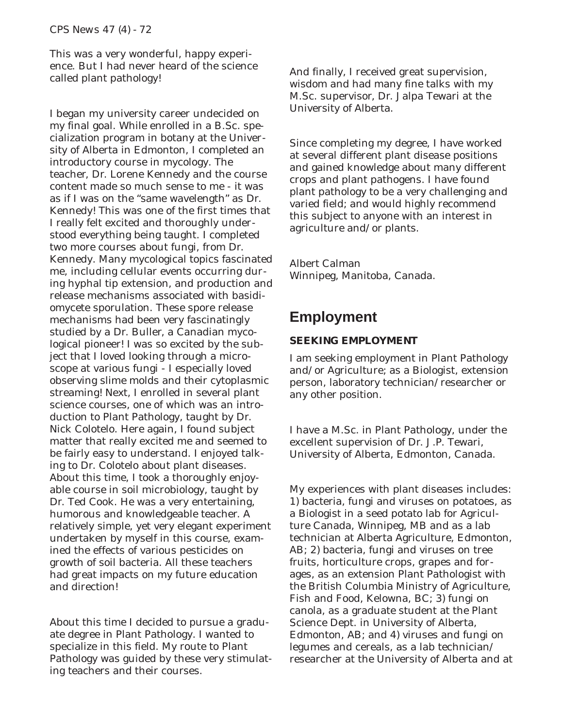This was a very wonderful, happy experience. But I had never heard of the science called plant pathology!

I began my university career undecided on my final goal. While enrolled in a B.Sc. specialization program in botany at the University of Alberta in Edmonton, I completed an introductory course in mycology. The teacher, Dr. Lorene Kennedy and the course content made so much sense to me - it was as if I was on the "same wavelength" as Dr. Kennedy! This was one of the first times that I really felt excited and thoroughly understood everything being taught. I completed two more courses about fungi, from Dr. Kennedy. Many mycological topics fascinated me, including cellular events occurring during hyphal tip extension, and production and release mechanisms associated with basidiomycete sporulation. These spore release mechanisms had been very fascinatingly studied by a Dr. Buller, a Canadian mycological pioneer! I was so excited by the subject that I loved looking through a microscope at various fungi - I especially loved observing slime molds and their cytoplasmic streaming! Next, I enrolled in several plant science courses, one of which was an introduction to Plant Pathology, taught by Dr. Nick Colotelo. Here again, I found subject matter that really excited me and seemed to be fairly easy to understand. I enjoyed talking to Dr. Colotelo about plant diseases. About this time, I took a thoroughly enjoyable course in soil microbiology, taught by Dr. Ted Cook. He was a very entertaining, humorous and knowledgeable teacher. A relatively simple, yet very elegant experiment undertaken by myself in this course, examined the effects of various pesticides on growth of soil bacteria. All these teachers had great impacts on my future education and direction!

About this time I decided to pursue a graduate degree in Plant Pathology. I wanted to specialize in this field. My route to Plant Pathology was guided by these very stimulating teachers and their courses.

And finally, I received great supervision, wisdom and had many fine talks with my M.Sc. supervisor, Dr. Jalpa Tewari at the University of Alberta.

Since completing my degree, I have worked at several different plant disease positions and gained knowledge about many different crops and plant pathogens. I have found plant pathology to be a very challenging and varied field; and would highly recommend this subject to anyone with an interest in agriculture and/or plants.

Albert Calman Winnipeg, Manitoba, Canada.

### **Employment**

#### **SEEKING EMPLOYMENT**

I am seeking employment in Plant Pathology and/or Agriculture; as a Biologist, extension person, laboratory technician/researcher or any other position.

I have a M.Sc. in Plant Pathology, under the excellent supervision of Dr. J.P. Tewari, University of Alberta, Edmonton, Canada.

My experiences with plant diseases includes: 1) bacteria, fungi and viruses on potatoes, as a Biologist in a seed potato lab for Agriculture Canada, Winnipeg, MB and as a lab technician at Alberta Agriculture, Edmonton, AB; 2) bacteria, fungi and viruses on tree fruits, horticulture crops, grapes and forages, as an extension Plant Pathologist with the British Columbia Ministry of Agriculture, Fish and Food, Kelowna, BC; 3) fungi on canola, as a graduate student at the Plant Science Dept. in University of Alberta, Edmonton, AB; and 4) viruses and fungi on legumes and cereals, as a lab technician/ researcher at the University of Alberta and at